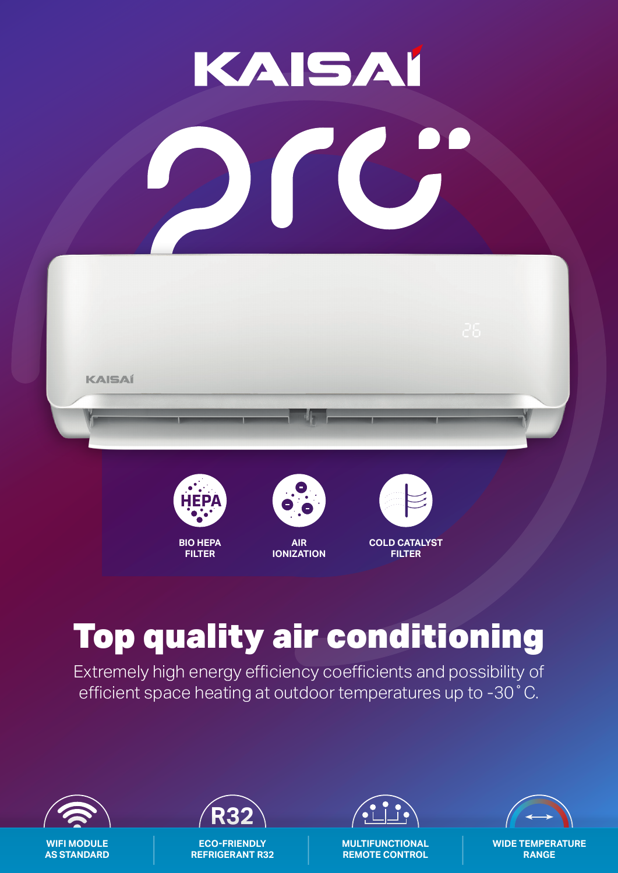# KAISAI





**FILTER**



**AIR IONIZATION**

**COLD CATALYST FILTER**

## Top quality air conditioning

Extremely high energy efficiency coefficients and possibility of efficient space heating at outdoor temperatures up to -30˚C.



**WIFI MODULE AS STANDARD**



**ECO-FRIENDLY REFRIGERANT R32**



**MULTIFUNCTIONAL REMOTE CONTROL**



**WIDE TEMPERATURE RANGE**